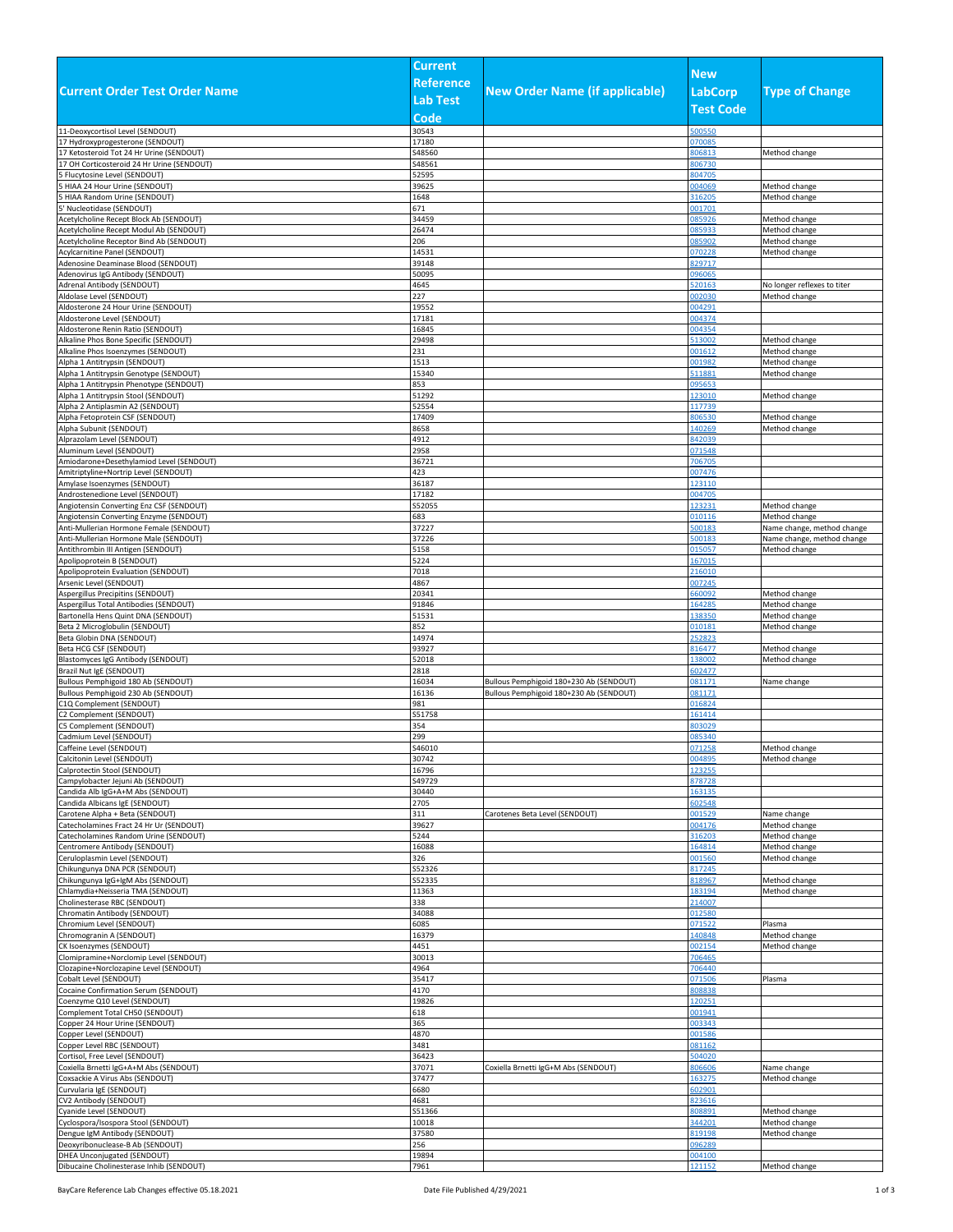|                                                                                   | <b>Current</b>   |                                         |                  |                                |
|-----------------------------------------------------------------------------------|------------------|-----------------------------------------|------------------|--------------------------------|
|                                                                                   | <b>Reference</b> |                                         | <b>New</b>       |                                |
| <b>Current Order Test Order Name</b>                                              |                  | <b>New Order Name (if applicable)</b>   | LabCorp          | <b>Type of Change</b>          |
|                                                                                   | <b>Lab Test</b>  |                                         | <b>Test Code</b> |                                |
|                                                                                   | Code             |                                         |                  |                                |
| 11-Deoxycortisol Level (SENDOUT)                                                  | 30543            |                                         | 500550           |                                |
| 17 Hydroxyprogesterone (SENDOUT)                                                  | 17180            |                                         | 070085           |                                |
| 17 Ketosteroid Tot 24 Hr Urine (SENDOUT)                                          | \$48560          |                                         | 306813           | Method change                  |
| 17 OH Corticosteroid 24 Hr Urine (SENDOUT)                                        | S48561           |                                         | 806730           |                                |
| Flucytosine Level (SENDOUT)<br>HIAA 24 Hour Urine (SENDOUT)                       | 52595<br>39625   |                                         | 804705<br>004069 | Method change                  |
| HIAA Random Urine (SENDOUT)                                                       | 1648             |                                         | 316205           | Method change                  |
| 5' Nucleotidase (SENDOUT)                                                         | 671              |                                         | 001701           |                                |
| Acetylcholine Recept Block Ab (SENDOUT)                                           | 34459            |                                         | 085926           | Method change                  |
| Acetylcholine Recept Modul Ab (SENDOUT)                                           | 26474            |                                         | 85933            | Method change                  |
| Acetylcholine Receptor Bind Ab (SENDOUT)                                          | 206              |                                         | 085902           | Method change                  |
| Acylcarnitine Panel (SENDOUT)                                                     | 14531            |                                         | 070228           | Method change                  |
| Adenosine Deaminase Blood (SENDOUT)                                               | 39148            |                                         | 329717           |                                |
| Adenovirus IgG Antibody (SENDOUT)<br>Adrenal Antibody (SENDOUT)                   | 50095<br>4645    |                                         | 096065<br>520163 | No longer reflexes to titer    |
| Aldolase Level (SENDOUT)                                                          | 227              |                                         | 002030           | Method change                  |
| Aldosterone 24 Hour Urine (SENDOUT)                                               | 19552            |                                         | 04291            |                                |
| Aldosterone Level (SENDOUT)                                                       | 17181            |                                         | 04374            |                                |
| Aldosterone Renin Ratio (SENDOUT)                                                 | 16845            |                                         | 004354           |                                |
| Alkaline Phos Bone Specific (SENDOUT)                                             | 29498            |                                         | 513002           | Method change                  |
| Alkaline Phos Isoenzymes (SENDOUT)                                                | 231              |                                         | 001612           | Method change                  |
| Alpha 1 Antitrypsin (SENDOUT)                                                     | 1513             |                                         | 001982           | Method change                  |
| Alpha 1 Antitrypsin Genotype (SENDOUT)<br>Alpha 1 Antitrypsin Phenotype (SENDOUT) | 15340<br>853     |                                         | 511881<br>095653 | Method change                  |
| Alpha 1 Antitrypsin Stool (SENDOUT)                                               | 51292            |                                         | 123010           | Method change                  |
| Alpha 2 Antiplasmin A2 (SENDOUT)                                                  | 52554            |                                         | 117739           |                                |
| Alpha Fetoprotein CSF (SENDOUT)                                                   | 17409            |                                         | 806530           | Method change                  |
| Alpha Subunit (SENDOUT)                                                           | 8658             |                                         | 140269           | Method change                  |
| Alprazolam Level (SENDOUT)                                                        | 4912             |                                         | 342039           |                                |
| Aluminum Level (SENDOUT)                                                          | 2958             |                                         | 071548           |                                |
| Amiodarone+Desethylamiod Level (SENDOUT)                                          | 36721            |                                         | 706705           |                                |
| Amitriptyline+Nortrip Level (SENDOUT)<br>Amylase Isoenzymes (SENDOUT)             | 423<br>36187     |                                         | 007476<br>123110 |                                |
| Androstenedione Level (SENDOUT)                                                   | 17182            |                                         | 04705            |                                |
| Angiotensin Converting Enz CSF (SENDOUT)                                          | \$52055          |                                         | 123231           | Method change                  |
| Angiotensin Converting Enzyme (SENDOUT)                                           | 683              |                                         | 010116           | Method change                  |
| Anti-Mullerian Hormone Female (SENDOUT)                                           | 37227            |                                         | 500183           | Name change, method change     |
| Anti-Mullerian Hormone Male (SENDOUT)                                             | 37226            |                                         | 500183           | Name change, method change     |
| Antithrombin III Antigen (SENDOUT)                                                | 5158             |                                         | 015057           | Method change                  |
| Apolipoprotein B (SENDOUT)<br>Apolipoprotein Evaluation (SENDOUT)                 | 5224<br>7018     |                                         | 167015<br>216010 |                                |
| Arsenic Level (SENDOUT)                                                           | 4867             |                                         | 007245           |                                |
| Aspergillus Precipitins (SENDOUT)                                                 | 20341            |                                         | 60092            | Method change                  |
| Aspergillus Total Antibodies (SENDOUT)                                            | 91846            |                                         | 164285           | Method change                  |
| Bartonella Hens Quint DNA (SENDOUT)                                               | 51531            |                                         | 138350           | Method change                  |
| Beta 2 Microglobulin (SENDOUT)                                                    | 852              |                                         | 010181           | Method change                  |
| Beta Globin DNA (SENDOUT)                                                         | 14974            |                                         | 252823           |                                |
| Beta HCG CSF (SENDOUT)<br>Blastomyces IgG Antibody (SENDOUT)                      | 93927<br>52018   |                                         | 816477<br>138002 | Method change<br>Method change |
| Brazil Nut IgE (SENDOUT)                                                          | 2818             |                                         | 502477           |                                |
| Bullous Pemphigoid 180 Ab (SENDOUT)                                               | 16034            | Bullous Pemphigoid 180+230 Ab (SENDOUT) | 081171           | Name change                    |
| Bullous Pemphigoid 230 Ab (SENDOUT)                                               | 16136            | Bullous Pemphigoid 180+230 Ab (SENDOUT) | 81171            |                                |
| C1Q Complement (SENDOUT)                                                          | 981              |                                         | 016824           |                                |
| C2 Complement (SENDOUT)                                                           | S51758           |                                         | 161414           |                                |
| C5 Complement (SENDOUT)                                                           | 354              |                                         | 303029           |                                |
| Cadmium Level (SENDOUT)<br>Caffeine Level (SENDOUT)                               | 299              |                                         | 085340<br>071258 |                                |
| Calcitonin Level (SENDOUT)                                                        | S46010<br>30742  |                                         | 004895           | Method change<br>Method change |
| Calprotectin Stool (SENDOUT)                                                      | 16796            |                                         | 123255           |                                |
| Campylobacter Jejuni Ab (SENDOUT)                                                 | S49729           |                                         | 378728           |                                |
| Candida Alb IgG+A+M Abs (SENDOUT)                                                 | 30440            |                                         | 163135           |                                |
| Candida Albicans IgE (SENDOUT)                                                    | 2705             |                                         | 502548           |                                |
| Carotene Alpha + Beta (SENDOUT)                                                   | 311              | Carotenes Beta Level (SENDOUT)          | 001529           | Name change                    |
| Catecholamines Fract 24 Hr Ur (SENDOUT)                                           | 39627            |                                         | 004176           | Method change                  |
| Catecholamines Random Urine (SENDOUT)<br>Centromere Antibody (SENDOUT)            | 5244<br>16088    |                                         | 316203<br>164814 | Method change<br>Method change |
| Ceruloplasmin Level (SENDOUT)                                                     | 326              |                                         | 001560           | Method change                  |
| Chikungunya DNA PCR (SENDOUT)                                                     | S52326           |                                         | 817245           |                                |
| Chikungunya IgG+IgM Abs (SENDOUT)                                                 | \$52335          |                                         | 818967           | Method change                  |
| Chlamydia+Neisseria TMA (SENDOUT)                                                 | 11363            |                                         | 183194           | Method change                  |
| Cholinesterase RBC (SENDOUT)                                                      | 338              |                                         | 214007           |                                |
| Chromatin Antibody (SENDOUT)                                                      | 34088            |                                         | 012580           |                                |
| Chromium Level (SENDOUT)<br>Chromogranin A (SENDOUT)                              | 6085<br>16379    |                                         | 071522<br>140848 | Plasma                         |
| CK Isoenzymes (SENDOUT)                                                           | 4451             |                                         | 002154           | Method change<br>Method change |
| Clomipramine+Norclomip Level (SENDOUT)                                            | 30013            |                                         | 706465           |                                |
| Clozapine+Norclozapine Level (SENDOUT)                                            | 4964             |                                         | 706440           |                                |
| Cobalt Level (SENDOUT)                                                            | 35417            |                                         | 071506           | Plasma                         |
| Cocaine Confirmation Serum (SENDOUT)                                              | 4170             |                                         | 308838           |                                |
| Coenzyme Q10 Level (SENDOUT)                                                      | 19826            |                                         | 120251           |                                |
| Complement Total CH50 (SENDOUT)                                                   | 618              |                                         | 001941           |                                |
| Copper 24 Hour Urine (SENDOUT)<br>Copper Level (SENDOUT)                          | 365<br>4870      |                                         | 003343<br>001586 |                                |
| Copper Level RBC (SENDOUT)                                                        | 3481             |                                         | 81162            |                                |
| Cortisol, Free Level (SENDOUT)                                                    | 36423            |                                         | 504020           |                                |
| Coxiella Brnetti IgG+A+M Abs (SENDOUT)                                            | 37071            | Coxiella Brnetti IgG+M Abs (SENDOUT)    | 806606           | Name change                    |
| Coxsackie A Virus Abs (SENDOUT)                                                   | 37477            |                                         | 163275           | Method change                  |
| Curvularia IgE (SENDOUT)                                                          | 6680             |                                         | 502901           |                                |
| CV2 Antibody (SENDOUT)                                                            | 4681             |                                         | 323616           |                                |
| Cyanide Level (SENDOUT)<br>Cyclospora/Isospora Stool (SENDOUT)                    | S51366<br>10018  |                                         | 808891<br>344201 | Method change                  |
| Dengue IgM Antibody (SENDOUT)                                                     | 37580            |                                         | 319198           | Method change<br>Method change |
| Deoxyribonuclease-B Ab (SENDOUT)                                                  | 256              |                                         | 096289           |                                |
| DHEA Unconjugated (SENDOUT)                                                       | 19894            |                                         | 004100           |                                |
| Dibucaine Cholinesterase Inhib (SENDOUT)                                          | 7961             |                                         | 121152           | Method change                  |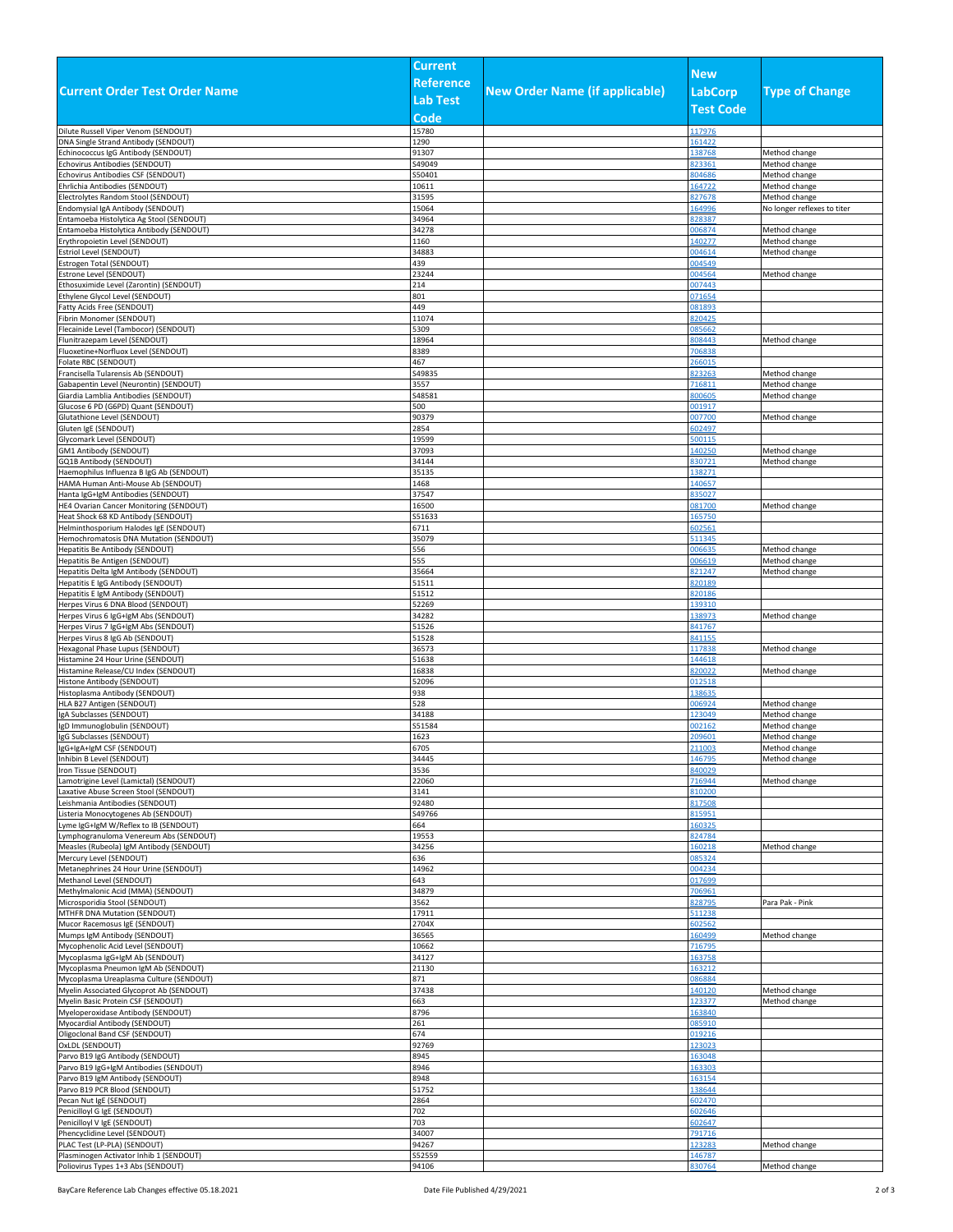|                                                                               | <b>Current</b>   |                                       |                  |                                |
|-------------------------------------------------------------------------------|------------------|---------------------------------------|------------------|--------------------------------|
|                                                                               | <b>Reference</b> |                                       | <b>New</b>       |                                |
| <b>Current Order Test Order Name</b>                                          |                  | <b>New Order Name (if applicable)</b> | <b>LabCorp</b>   | <b>Type of Change</b>          |
|                                                                               | <b>Lab Test</b>  |                                       | <b>Test Code</b> |                                |
|                                                                               | Code             |                                       |                  |                                |
| Dilute Russell Viper Venom (SENDOUT)                                          | 15780            |                                       | 117976           |                                |
| DNA Single Strand Antibody (SENDOUT)                                          | 1290             |                                       | 161422           |                                |
| Echinococcus IgG Antibody (SENDOUT)                                           | 91307            |                                       | 138768           | Method change                  |
| Echovirus Antibodies (SENDOUT)<br>Echovirus Antibodies CSF (SENDOUT)          | S49049<br>S50401 |                                       | 823361<br>804686 | Method change<br>Method change |
| Ehrlichia Antibodies (SENDOUT)                                                | 10611            |                                       | 164722           | Method change                  |
| Electrolytes Random Stool (SENDOUT)                                           | 31595            |                                       | 827678           | Method change                  |
| Endomysial IgA Antibody (SENDOUT)                                             | 15064            |                                       | 164996           | No longer reflexes to titer    |
| Entamoeba Histolytica Ag Stool (SENDOUT)                                      | 34964            |                                       | 828387           |                                |
| Entamoeba Histolytica Antibody (SENDOUT                                       | 34278            |                                       | 006874           | Method change                  |
| Erythropoietin Level (SENDOUT)                                                | 1160             |                                       | 140277           | Method change                  |
| Estriol Level (SENDOUT)<br>Estrogen Total (SENDOUT)                           | 34883<br>439     |                                       | 004614<br>004549 | Method change                  |
| Estrone Level (SENDOUT)                                                       | 23244            |                                       | 004564           | Method change                  |
| Ethosuximide Level (Zarontin) (SENDOUT)                                       | 214              |                                       | 007443           |                                |
| Ethylene Glycol Level (SENDOUT)                                               | 801              |                                       | 071654           |                                |
| Fatty Acids Free (SENDOUT)                                                    | 449              |                                       | 081893           |                                |
| Fibrin Monomer (SENDOUT)                                                      | 11074            |                                       | 820425           |                                |
| Flecainide Level (Tambocor) (SENDOUT)                                         | 5309             |                                       | 085662           |                                |
| Flunitrazepam Level (SENDOUT)<br>Fluoxetine+Norfluox Level (SENDOUT)          | 18964<br>8389    |                                       | 808443<br>706838 | Method change                  |
| Folate RBC (SENDOUT)                                                          | 467              |                                       | 266015           |                                |
| Francisella Tularensis Ab (SENDOUT)                                           | S49835           |                                       | 823263           | Method change                  |
| Gabapentin Level (Neurontin) (SENDOUT)                                        | 3557             |                                       | 716811           | Method change                  |
| Giardia Lamblia Antibodies (SENDOUT)                                          | S48581           |                                       | 800605           | Method change                  |
| Glucose 6 PD (G6PD) Quant (SENDOUT)                                           | 500              |                                       | 001917           |                                |
| Glutathione Level (SENDOUT)                                                   | 90379            |                                       | 007700           | Method change                  |
| Gluten IgE (SENDOUT)<br>Glycomark Level (SENDOUT)                             | 2854<br>19599    |                                       | 602497<br>500115 |                                |
| GM1 Antibody (SENDOUT)                                                        | 37093            |                                       | 140250           | Method change                  |
| GQ1B Antibody (SENDOUT)                                                       | 34144            |                                       | 830721           | Method change                  |
| Haemophilus Influenza B IgG Ab (SENDOUT)                                      | 35135            |                                       | 138271           |                                |
| HAMA Human Anti-Mouse Ab (SENDOUT)                                            | 1468             |                                       | 140657           |                                |
| Hanta IgG+IgM Antibodies (SENDOUT)                                            | 37547            |                                       | 835027           |                                |
| HE4 Ovarian Cancer Monitoring (SENDOUT)                                       | 16500            |                                       | 081700           | Method change                  |
| Heat Shock 68 KD Antibody (SENDOUT)<br>Helminthosporium Halodes IgE (SENDOUT) | S51633<br>6711   |                                       | 165750<br>602561 |                                |
| Hemochromatosis DNA Mutation (SENDOUT)                                        | 35079            |                                       | 511345           |                                |
| Hepatitis Be Antibody (SENDOUT)                                               | 556              |                                       | 006635           | Method change                  |
| Hepatitis Be Antigen (SENDOUT)                                                | 555              |                                       | 006619           | Method change                  |
| Hepatitis Delta IgM Antibody (SENDOUT)                                        | 35664            |                                       | 821247           | Method change                  |
| Hepatitis E IgG Antibody (SENDOUT)                                            | 51511            |                                       | 820189           |                                |
| Hepatitis E IgM Antibody (SENDOUT)                                            | 51512            |                                       | 320186           |                                |
| Herpes Virus 6 DNA Blood (SENDOUT)<br>Herpes Virus 6 IgG+IgM Abs (SENDOUT)    | 52269<br>34282   |                                       | 139310<br>138973 | Method change                  |
| Herpes Virus 7 IgG+IgM Abs (SENDOUT)                                          | 51526            |                                       | 841767           |                                |
| Herpes Virus 8 IgG Ab (SENDOUT)                                               | 51528            |                                       | 841155           |                                |
| Hexagonal Phase Lupus (SENDOUT)                                               | 36573            |                                       | 117838           | Method change                  |
| Histamine 24 Hour Urine (SENDOUT)                                             | 51638            |                                       | 144618           |                                |
| Histamine Release/CU Index (SENDOUT)                                          | 16838            |                                       | 820022           | Method change                  |
| Histone Antibody (SENDOUT)<br>Histoplasma Antibody (SENDOUT)                  | 52096<br>938     |                                       | 012518<br>138635 |                                |
| HLA B27 Antigen (SENDOUT)                                                     | 528              |                                       | 006924           | Method change                  |
| IgA Subclasses (SENDOUT)                                                      | 34188            |                                       | 123049           | Method change                  |
| IgD Immunoglobulin (SENDOUT)                                                  | S51584           |                                       | 002162           | Method change                  |
| IgG Subclasses (SENDOUT)                                                      | 1623             |                                       | 209601           | Method change                  |
| IgG+IgA+IgM CSF (SENDOUT)                                                     | 6705             |                                       | 211003           | Method change                  |
| Inhibin B Level (SENDOUT)                                                     | 34445<br>3536    |                                       | 146795<br>840029 | Method change                  |
| Iron Tissue (SENDOUT)<br>Lamotrigine Level (Lamictal) (SENDOUT)               | 22060            |                                       | 716944           | Method change                  |
| Laxative Abuse Screen Stool (SENDOUT)                                         | 3141             |                                       | 310200           |                                |
| Leishmania Antibodies (SENDOUT)                                               | 92480            |                                       | 817508           |                                |
| Listeria Monocytogenes Ab (SENDOUT)                                           | S49766           |                                       | 815951           |                                |
| Lyme IgG+IgM W/Reflex to IB (SENDOUT)                                         | 664              |                                       | 160325           |                                |
| Lymphogranuloma Venereum Abs (SENDOUT)                                        | 19553            |                                       | 824784           |                                |
| Measles (Rubeola) IgM Antibody (SENDOUT)<br>Mercury Level (SENDOUT)           | 34256<br>636     |                                       | 160218<br>085324 | Method change                  |
| Metanephrines 24 Hour Urine (SENDOUT)                                         | 14962            |                                       | 004234           |                                |
| Methanol Level (SENDOUT)                                                      | 643              |                                       | 017699           |                                |
| Methylmalonic Acid (MMA) (SENDOUT)                                            | 34879            |                                       | 706961           |                                |
| Microsporidia Stool (SENDOUT)                                                 | 3562             |                                       | 828795           | Para Pak - Pink                |
| MTHFR DNA Mutation (SENDOUT)                                                  | 17911            |                                       | 511238           |                                |
| Mucor Racemosus IgE (SENDOUT)<br>Mumps IgM Antibody (SENDOUT)                 | 2704X<br>36565   |                                       | 602562<br>160499 | Method change                  |
| Mycophenolic Acid Level (SENDOUT)                                             | 10662            |                                       | 716795           |                                |
| Mycoplasma IgG+IgM Ab (SENDOUT)                                               | 34127            |                                       | 163758           |                                |
| Mycoplasma Pneumon IgM Ab (SENDOUT)                                           | 21130            |                                       | 163212           |                                |
| Mycoplasma Ureaplasma Culture (SENDOUT)                                       | 871              |                                       | 086884           |                                |
| Myelin Associated Glycoprot Ab (SENDOUT)                                      | 37438            |                                       | 140120           | Method change                  |
| Myelin Basic Protein CSF (SENDOUT)                                            | 663              |                                       | 123377           | Method change                  |
| Myeloperoxidase Antibody (SENDOUT)<br>Myocardial Antibody (SENDOUT)           | 8796<br>261      |                                       | 163840<br>085910 |                                |
| Oligoclonal Band CSF (SENDOUT)                                                | 674              |                                       | 019216           |                                |
| OxLDL (SENDOUT)                                                               | 92769            |                                       | 123023           |                                |
| Parvo B19 IgG Antibody (SENDOUT)                                              | 8945             |                                       | 163048           |                                |
| Parvo B19 IgG+IgM Antibodies (SENDOUT)                                        | 8946             |                                       | 163303           |                                |
| Parvo B19 IgM Antibody (SENDOUT)                                              | 8948             |                                       | 163154           |                                |
| Parvo B19 PCR Blood (SENDOUT)                                                 | 51752            |                                       | 138644           |                                |
| Pecan Nut IgE (SENDOUT)<br>Penicilloyl G IgE (SENDOUT)                        | 2864<br>702      |                                       | 602470<br>602646 |                                |
| Penicilloyl V IgE (SENDOUT)                                                   | 703              |                                       | 602647           |                                |
| Phencyclidine Level (SENDOUT)                                                 | 34007            |                                       | 791716           |                                |
| PLAC Test (LP-PLA) (SENDOUT)                                                  | 94267            |                                       | 123283           | Method change                  |
| Plasminogen Activator Inhib 1 (SENDOUT)                                       | S52559           |                                       | 146787           |                                |
| Poliovirus Types 1+3 Abs (SENDOUT)                                            | 94106            |                                       | 830764           | Method change                  |